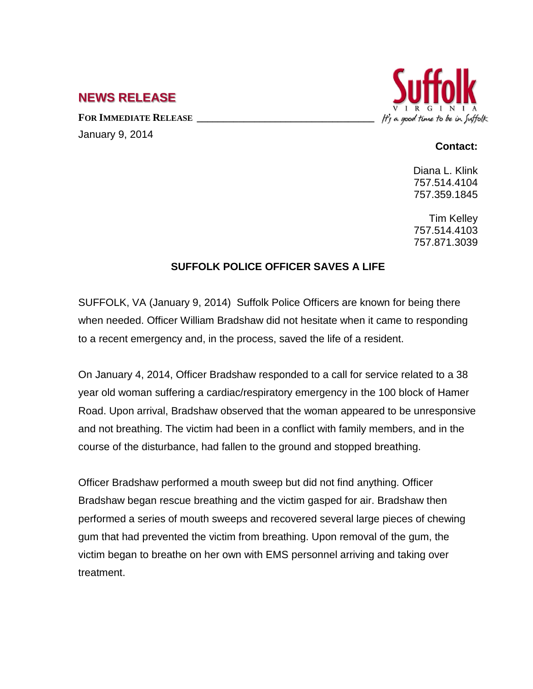## **NEWS RELEASE**

FOR **IMMEDIATE RELEASE** January 9, 2014



## **Contact:**

Diana L. Klink 757.514.4104 757.359.1845

Tim Kelley 757.514.4103 757.871.3039

## **SUFFOLK POLICE OFFICER SAVES A LIFE**

SUFFOLK, VA (January 9, 2014) Suffolk Police Officers are known for being there when needed. Officer William Bradshaw did not hesitate when it came to responding to a recent emergency and, in the process, saved the life of a resident.

On January 4, 2014, Officer Bradshaw responded to a call for service related to a 38 year old woman suffering a cardiac/respiratory emergency in the 100 block of Hamer Road. Upon arrival, Bradshaw observed that the woman appeared to be unresponsive and not breathing. The victim had been in a conflict with family members, and in the course of the disturbance, had fallen to the ground and stopped breathing.

Officer Bradshaw performed a mouth sweep but did not find anything. Officer Bradshaw began rescue breathing and the victim gasped for air. Bradshaw then performed a series of mouth sweeps and recovered several large pieces of chewing gum that had prevented the victim from breathing. Upon removal of the gum, the victim began to breathe on her own with EMS personnel arriving and taking over treatment.